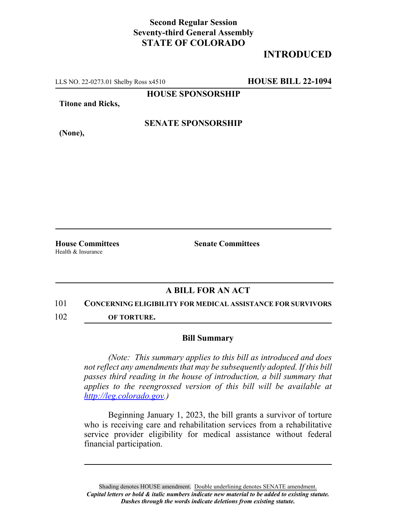## **Second Regular Session Seventy-third General Assembly STATE OF COLORADO**

# **INTRODUCED**

LLS NO. 22-0273.01 Shelby Ross x4510 **HOUSE BILL 22-1094**

**HOUSE SPONSORSHIP**

**Titone and Ricks,**

**(None),**

### **SENATE SPONSORSHIP**

Health & Insurance

**House Committees Senate Committees**

## **A BILL FOR AN ACT**

#### 101 **CONCERNING ELIGIBILITY FOR MEDICAL ASSISTANCE FOR SURVIVORS**

102 **OF TORTURE.**

#### **Bill Summary**

*(Note: This summary applies to this bill as introduced and does not reflect any amendments that may be subsequently adopted. If this bill passes third reading in the house of introduction, a bill summary that applies to the reengrossed version of this bill will be available at http://leg.colorado.gov.)*

Beginning January 1, 2023, the bill grants a survivor of torture who is receiving care and rehabilitation services from a rehabilitative service provider eligibility for medical assistance without federal financial participation.

Shading denotes HOUSE amendment. Double underlining denotes SENATE amendment. *Capital letters or bold & italic numbers indicate new material to be added to existing statute. Dashes through the words indicate deletions from existing statute.*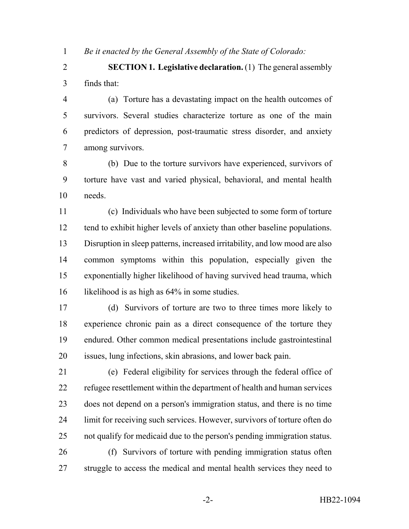*Be it enacted by the General Assembly of the State of Colorado:*

 **SECTION 1. Legislative declaration.** (1) The general assembly finds that:

 (a) Torture has a devastating impact on the health outcomes of survivors. Several studies characterize torture as one of the main predictors of depression, post-traumatic stress disorder, and anxiety among survivors.

 (b) Due to the torture survivors have experienced, survivors of torture have vast and varied physical, behavioral, and mental health needs.

 (c) Individuals who have been subjected to some form of torture 12 tend to exhibit higher levels of anxiety than other baseline populations. Disruption in sleep patterns, increased irritability, and low mood are also common symptoms within this population, especially given the exponentially higher likelihood of having survived head trauma, which 16 likelihood is as high as  $64\%$  in some studies.

 (d) Survivors of torture are two to three times more likely to experience chronic pain as a direct consequence of the torture they endured. Other common medical presentations include gastrointestinal issues, lung infections, skin abrasions, and lower back pain.

 (e) Federal eligibility for services through the federal office of refugee resettlement within the department of health and human services does not depend on a person's immigration status, and there is no time limit for receiving such services. However, survivors of torture often do not qualify for medicaid due to the person's pending immigration status. (f) Survivors of torture with pending immigration status often

27 struggle to access the medical and mental health services they need to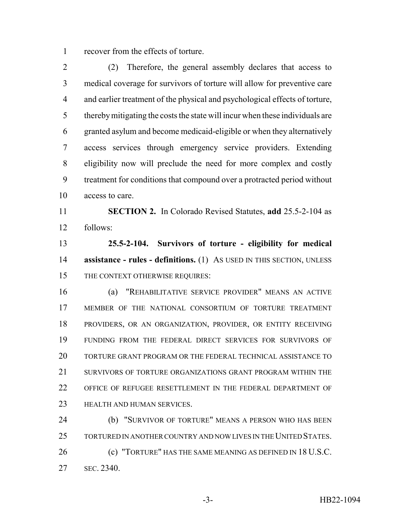recover from the effects of torture.

 (2) Therefore, the general assembly declares that access to medical coverage for survivors of torture will allow for preventive care and earlier treatment of the physical and psychological effects of torture, thereby mitigating the costs the state will incur when these individuals are granted asylum and become medicaid-eligible or when they alternatively access services through emergency service providers. Extending eligibility now will preclude the need for more complex and costly treatment for conditions that compound over a protracted period without access to care.

 **SECTION 2.** In Colorado Revised Statutes, **add** 25.5-2-104 as follows:

 **25.5-2-104. Survivors of torture - eligibility for medical assistance - rules - definitions.** (1) As USED IN THIS SECTION, UNLESS 15 THE CONTEXT OTHERWISE REQUIRES:

 (a) "REHABILITATIVE SERVICE PROVIDER" MEANS AN ACTIVE MEMBER OF THE NATIONAL CONSORTIUM OF TORTURE TREATMENT PROVIDERS, OR AN ORGANIZATION, PROVIDER, OR ENTITY RECEIVING FUNDING FROM THE FEDERAL DIRECT SERVICES FOR SURVIVORS OF TORTURE GRANT PROGRAM OR THE FEDERAL TECHNICAL ASSISTANCE TO 21 SURVIVORS OF TORTURE ORGANIZATIONS GRANT PROGRAM WITHIN THE OFFICE OF REFUGEE RESETTLEMENT IN THE FEDERAL DEPARTMENT OF HEALTH AND HUMAN SERVICES.

 (b) "SURVIVOR OF TORTURE" MEANS A PERSON WHO HAS BEEN TORTURED IN ANOTHER COUNTRY AND NOW LIVES IN THE UNITED STATES. **(c) "TORTURE" HAS THE SAME MEANING AS DEFINED IN 18 U.S.C.** SEC. 2340.